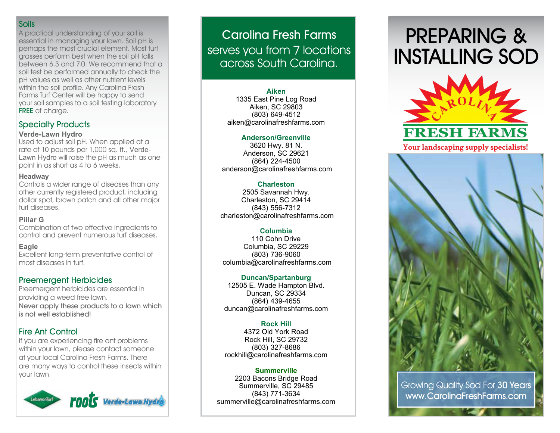#### **Soils**

A practical understanding of your soil is essential in managing your lawn. Soil pH is perhaps the most crucial element. Most turf grasses perform best when the soil pH falls between 6.3 and 7.0. We recommend that a soil test be performed annually to check the pH values as well as other nutrient levels within the soil profile. Any Carolina Fresh Farms Turf Center will be happy to send your soil samples to a soil testing laboratory **FREE** of charge.

#### **Specialty Products**

#### **Verde-Lawn Hydro**

Used to adjust soil pH. When applied at a rate of 10 pounds per 1,000 sq. ft., Verde-Lawn Hydro will raise the pH as much as one point in as short as 4 to 6 weeks.

#### **Headway**

Controls a wider range of diseases than any other currently registered product, including dollar spot, brown patch and all other major turf diseases.

#### **Pillar G**

Combination of two effective ingredients to control and prevent numerous turf diseases.

#### **Eagle**

Excellent long-term preventative control of most diseases in turf.

#### **Preemergent Herbicides**

Preemergent herbicides are essential in providing a weed free lawn. **Never apply these products to a lawn which is not well established!**

### **Fire Ant Control**

If you are experiencing fire ant problems within your lawn, please contact someone at your local Carolina Fresh Farms. There are many ways to control these insects within your lawn.



## **Carolina Fresh Farms** serves you from 7 locations across South Carolina.

#### **Aiken**

1335 East Pine Log Road Aiken, SC 29803 (803) 649-4512 aiken@carolinafreshfarms.com

#### **Anderson/Greenville**

3620 Hwy. 81 N. Anderson, SC 29621 (864) 224-4500 anderson@carolinafreshfarms.com

#### **Charleston**

2505 Savannah Hwy. Charleston, SC 29414 (843) 556-7312 charleston@carolinafreshfarms.com

#### **Columbia**

110 Cohn Drive Columbia, SC 29229 (803) 736-9060 columbia@carolinafreshfarms.com

#### **Duncan/Spartanburg**

12505 E. Wade Hampton Blvd. Duncan, SC 29334 (864) 439-4655 duncan@carolinafreshfarms.com

#### **Rock Hill**

4372 Old York Road Rock Hill, SC 29732 (803) 327-8686 rockhill@carolinafreshfarms.com

#### **Summerville**

2203 Bacons Bridge Road Summerville, SC 29485 (843) 771-3634 summerville@carolinafreshfarms.com

# **PREPARING & INSTALLING SOD**



Your landscaping supply specialists!



Growing Quality Sod For **30 Years www.CarolinaFreshFarms.com**